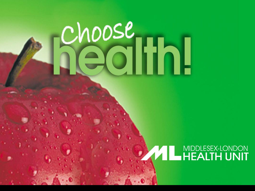# choose (Ith)

## **AND MIDDLESEX-LONDON**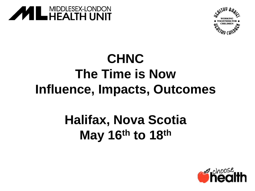



### **CHNC The Time is Now Influence, Impacts, Outcomes**

#### **Halifax, Nova Scotia May 16th to 18th**

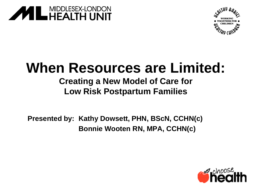



#### **When Resources are Limited:**

#### **Creating a New Model of Care for Low Risk Postpartum Families**

**Presented by: Kathy Dowsett, PHN, BScN, CCHN(c) Bonnie Wooten RN, MPA, CCHN(c)**

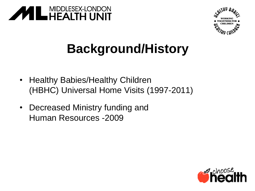



### **Background/History**

- Healthy Babies/Healthy Children (HBHC) Universal Home Visits (1997-2011)
- Decreased Ministry funding and Human Resources -2009

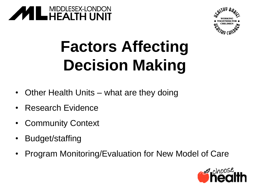



## **Factors Affecting Decision Making**

- Other Health Units what are they doing
- Research Evidence
- **Community Context**
- Budget/staffing
- Program Monitoring/Evaluation for New Model of Care

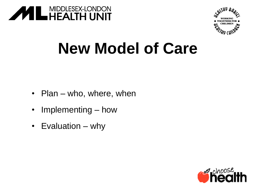



## **New Model of Care**

- Plan who, where, when
- Implementing how
- Evaluation why

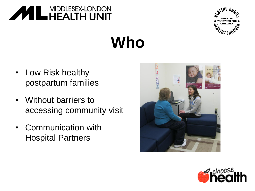



## **Who**

- Low Risk healthy postpartum families
- Without barriers to accessing community visit
- Communication with Hospital Partners



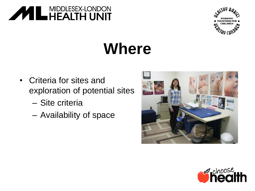



## **Where**

- Criteria for sites and exploration of potential sites
	- Site criteria
	- Availability of space



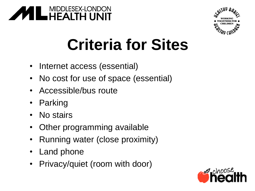



## **Criteria for Sites**

- Internet access (essential)
- No cost for use of space (essential)
- Accessible/bus route
- Parking
- No stairs
- Other programming available
- Running water (close proximity)
- Land phone
- Privacy/quiet (room with door)

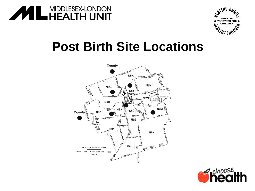



#### **Post Birth Site Locations**



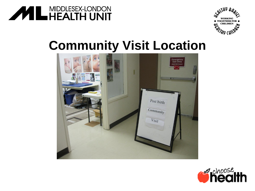



#### **Community Visit Location**



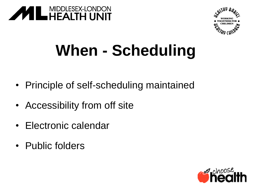



## **When - Scheduling**

- Principle of self-scheduling maintained
- Accessibility from off site
- Electronic calendar
- Public folders

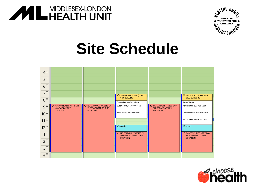



## **Site Schedule**



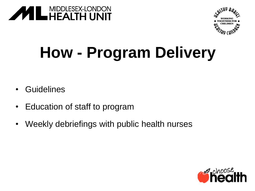



## **How - Program Delivery**

- **Guidelines**
- Education of staff to program
- Weekly debriefings with public health nurses

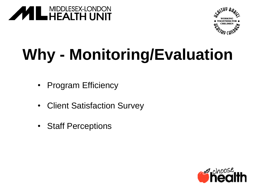



## **Why - Monitoring/Evaluation**

- Program Efficiency
- **Client Satisfaction Survey**
- **Staff Perceptions**

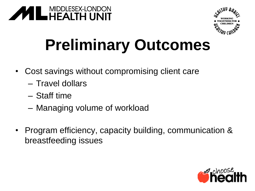



## **Preliminary Outcomes**

- Cost savings without compromising client care
	- Travel dollars
	- Staff time
	- Managing volume of workload
- Program efficiency, capacity building, communication & breastfeeding issues

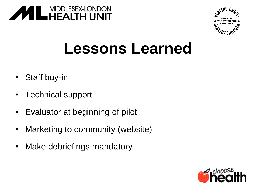



## **Lessons Learned**

- Staff buy-in
- Technical support
- Evaluator at beginning of pilot
- Marketing to community (website)
- Make debriefings mandatory

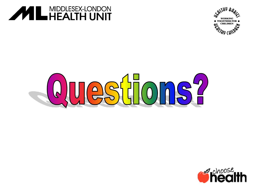